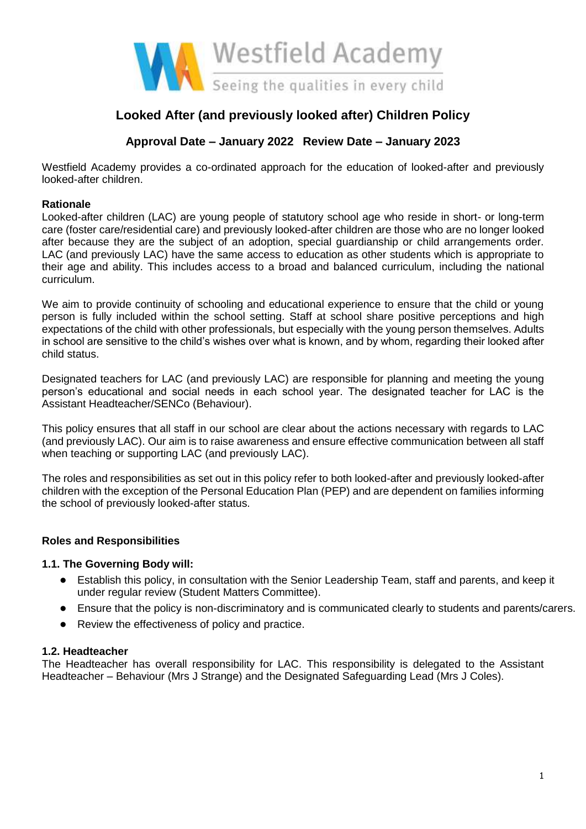

# **Looked After (and previously looked after) Children Policy**

# **Approval Date – January 2022 Review Date – January 2023**

Westfield Academy provides a co-ordinated approach for the education of looked-after and previously looked-after children.

### **Rationale**

Looked-after children (LAC) are young people of statutory school age who reside in short- or long-term care (foster care/residential care) and previously looked-after children are those who are no longer looked after because they are the subject of an adoption, special guardianship or child arrangements order. LAC (and previously LAC) have the same access to education as other students which is appropriate to their age and ability. This includes access to a broad and balanced curriculum, including the national curriculum.

We aim to provide continuity of schooling and educational experience to ensure that the child or young person is fully included within the school setting. Staff at school share positive perceptions and high expectations of the child with other professionals, but especially with the young person themselves. Adults in school are sensitive to the child's wishes over what is known, and by whom, regarding their looked after child status.

Designated teachers for LAC (and previously LAC) are responsible for planning and meeting the young person's educational and social needs in each school year. The designated teacher for LAC is the Assistant Headteacher/SENCo (Behaviour).

This policy ensures that all staff in our school are clear about the actions necessary with regards to LAC (and previously LAC). Our aim is to raise awareness and ensure effective communication between all staff when teaching or supporting LAC (and previously LAC).

The roles and responsibilities as set out in this policy refer to both looked-after and previously looked-after children with the exception of the Personal Education Plan (PEP) and are dependent on families informing the school of previously looked-after status.

### **Roles and Responsibilities**

### **1.1. The Governing Body will:**

- Establish this policy, in consultation with the Senior Leadership Team, staff and parents, and keep it under regular review (Student Matters Committee).
- Ensure that the policy is non-discriminatory and is communicated clearly to students and parents/carers.
- Review the effectiveness of policy and practice.

### **1.2. Headteacher**

The Headteacher has overall responsibility for LAC. This responsibility is delegated to the Assistant Headteacher – Behaviour (Mrs J Strange) and the Designated Safeguarding Lead (Mrs J Coles).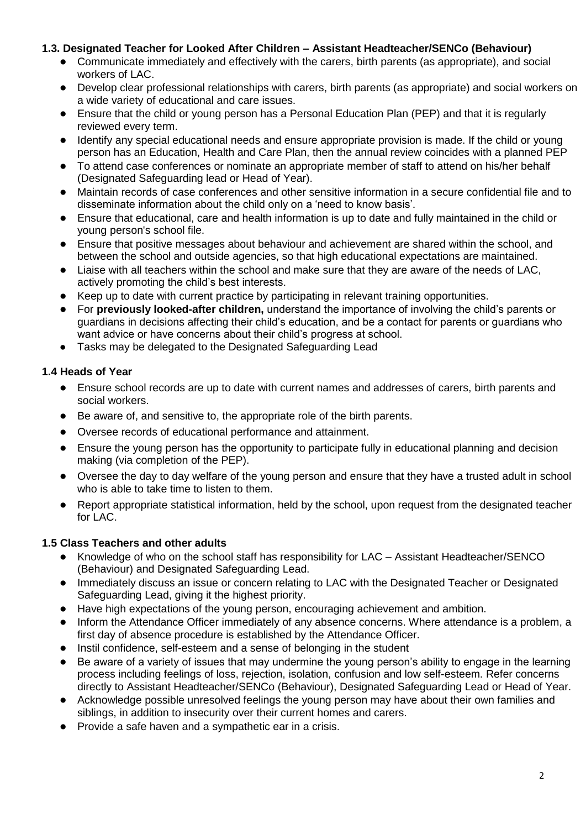### **1.3. Designated Teacher for Looked After Children – Assistant Headteacher/SENCo (Behaviour)**

- Communicate immediately and effectively with the carers, birth parents (as appropriate), and social workers of LAC.
- Develop clear professional relationships with carers, birth parents (as appropriate) and social workers on a wide variety of educational and care issues.
- Ensure that the child or young person has a Personal Education Plan (PEP) and that it is regularly reviewed every term.
- Identify any special educational needs and ensure appropriate provision is made. If the child or young person has an Education, Health and Care Plan, then the annual review coincides with a planned PEP
- To attend case conferences or nominate an appropriate member of staff to attend on his/her behalf (Designated Safeguarding lead or Head of Year).
- Maintain records of case conferences and other sensitive information in a secure confidential file and to disseminate information about the child only on a 'need to know basis'.
- Ensure that educational, care and health information is up to date and fully maintained in the child or young person's school file.
- Ensure that positive messages about behaviour and achievement are shared within the school, and between the school and outside agencies, so that high educational expectations are maintained.
- Liaise with all teachers within the school and make sure that they are aware of the needs of LAC, actively promoting the child's best interests.
- Keep up to date with current practice by participating in relevant training opportunities.
- For **previously looked-after children,** understand the importance of involving the child's parents or guardians in decisions affecting their child's education, and be a contact for parents or guardians who want advice or have concerns about their child's progress at school.
- Tasks may be delegated to the Designated Safeguarding Lead

## **1.4 Heads of Year**

- Ensure school records are up to date with current names and addresses of carers, birth parents and social workers.
- Be aware of, and sensitive to, the appropriate role of the birth parents.
- Oversee records of educational performance and attainment.
- Ensure the young person has the opportunity to participate fully in educational planning and decision making (via completion of the PEP).
- Oversee the day to day welfare of the young person and ensure that they have a trusted adult in school who is able to take time to listen to them.
- Report appropriate statistical information, held by the school, upon request from the designated teacher for LAC.

# **1.5 Class Teachers and other adults**

- Knowledge of who on the school staff has responsibility for LAC Assistant Headteacher/SENCO (Behaviour) and Designated Safeguarding Lead.
- Immediately discuss an issue or concern relating to LAC with the Designated Teacher or Designated Safeguarding Lead, giving it the highest priority.
- Have high expectations of the young person, encouraging achievement and ambition.
- Inform the Attendance Officer immediately of any absence concerns. Where attendance is a problem, a first day of absence procedure is established by the Attendance Officer.
- Instil confidence, self-esteem and a sense of belonging in the student
- Be aware of a variety of issues that may undermine the young person's ability to engage in the learning process including feelings of loss, rejection, isolation, confusion and low self-esteem. Refer concerns directly to Assistant Headteacher/SENCo (Behaviour), Designated Safeguarding Lead or Head of Year.
- Acknowledge possible unresolved feelings the young person may have about their own families and siblings, in addition to insecurity over their current homes and carers.
- Provide a safe haven and a sympathetic ear in a crisis.